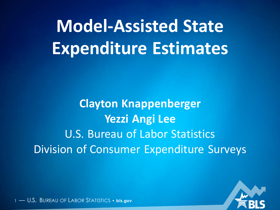# **Model-Assisted State Expenditure Estimates**

**Clayton Knappenberger Yezzi Angi Lee U.S. Bureau of Labor Statistics Division of Consumer Expenditure Surveys** 

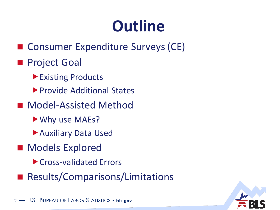## **Outline**

■ Consumer Expenditure Surveys (CE)

#### ■ Project Goal

- ▶ Existing Products
- **Provide Additional States**
- Model-Assisted Method
	- Why use MAEs?
	- Auxiliary Data Used
- Models Explored
	- Cross-validated Errors
- ◼ Results/Comparisons/Limitations

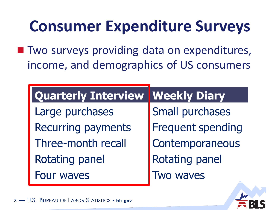## **Consumer Expenditure Surveys**

■ Two surveys providing data on expenditures, income, and demographics of US consumers

| <b>Quarterly Interview Weekly Diary</b> |                          |
|-----------------------------------------|--------------------------|
| Large purchases                         | <b>Small purchases</b>   |
| <b>Recurring payments</b>               | <b>Frequent spending</b> |
| Three-month recall                      | Contemporaneous          |
| <b>Rotating panel</b>                   | <b>Rotating panel</b>    |
| <b>Four waves</b>                       | Two waves                |

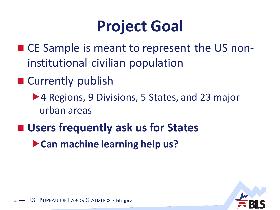## **Project Goal**

- CE Sample is meant to represent the US noninstitutional civilian population
- Currently publish
	- ▶ 4 Regions, 9 Divisions, 5 States, and 23 major urban areas
- Users frequently ask us for States
	- **Can machine learning help us?**

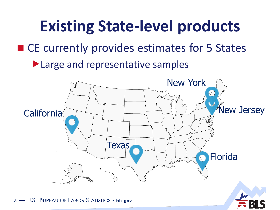## **Existing State-level products** ■ CE currently provides estimates for 5 States ▶ Large and representative samples

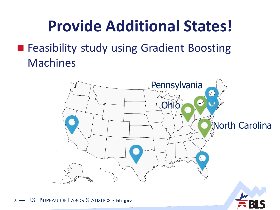## **Provide Additional States!**

#### ■ Feasibility study using Gradient Boosting Machines

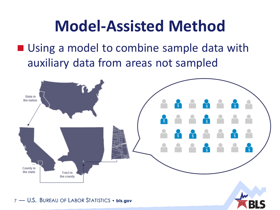## **Model-Assisted Method**

■ Using a model to combine sample data with auxiliary data from areas not sampled

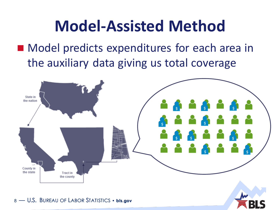## **Model-Assisted Method**

### ■ Model predicts expenditures for each area in the auxiliary data giving us total coverage

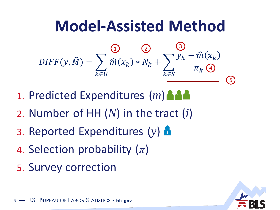## **Model-Assisted Method**

$$
DIFF(y, \widehat{M}) = \sum_{k \in U} \widehat{m}(x_k) * N_k + \sum_{k \in S} \frac{y_k - \widehat{m}(x_k)}{\pi_k \bigoplus}
$$

- 1. Predicted Expenditures (*m*)
- 2. Number of HH (*N*) in the tract (*i*)
- 3. Reported Expenditures (*y*) \$
- 4. Selection probability (*π*)
- 5. Survey correction

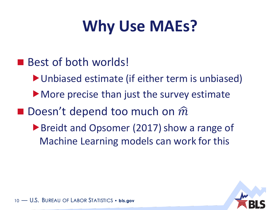## **Why Use MAEs?**

- Best of both worlds!
	- Unbiased estimate (if either term is unbiased)
	- More precise than just the survey estimate
- $\blacksquare$  Doesn't depend too much on  $\widehat{m}$ 
	- ▶ Breidt and Opsomer (2017) show a range of Machine Learning models can work for this

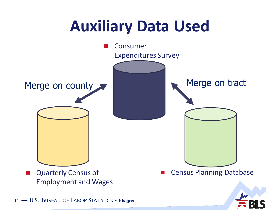## **Auxiliary Data Used**

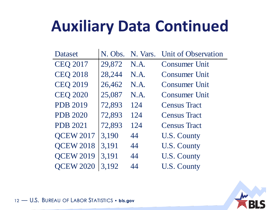## **Auxiliary Data Continued**

| Dataset          | N. Obs. | N. Vars. | Unit of Observation  |
|------------------|---------|----------|----------------------|
| <b>CEQ 2017</b>  | 29,872  | N.A.     | <b>Consumer Unit</b> |
| <b>CEQ 2018</b>  | 28,244  | N.A.     | <b>Consumer Unit</b> |
| <b>CEQ 2019</b>  | 26,462  | N.A.     | <b>Consumer Unit</b> |
| <b>CEQ 2020</b>  | 25,087  | N.A.     | <b>Consumer Unit</b> |
| <b>PDB 2019</b>  | 72,893  | 124      | <b>Census Tract</b>  |
| <b>PDB 2020</b>  | 72,893  | 124      | <b>Census Tract</b>  |
| <b>PDB 2021</b>  | 72,893  | 124      | <b>Census Tract</b>  |
| <b>QCEW 2017</b> | 3,190   | 44       | U.S. County          |
| <b>QCEW 2018</b> | 3,191   | 44       | <b>U.S. County</b>   |
| <b>QCEW 2019</b> | 3,191   | 44       | <b>U.S. County</b>   |
| <b>OCEW 2020</b> | 3,192   | 44       | <b>U.S. County</b>   |

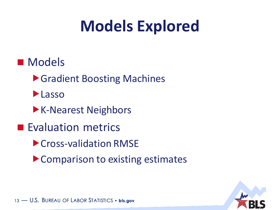## **Models Explored**

- Models
	- ▶ Gradient Boosting Machines
	- **Lasso**
	- **K-Nearest Neighbors**
- Evaluation metrics
	- ▶ Cross-validation RMSE
	- ▶ Comparison to existing estimates

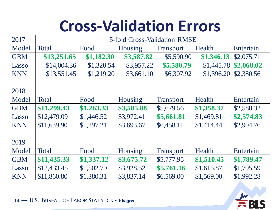## **Cross-Validation Errors**

| <b>5-fold Cross-Validation RMSE</b> |            |                |                  |            |                          |  |
|-------------------------------------|------------|----------------|------------------|------------|--------------------------|--|
| <b>Total</b>                        | Food       | Housing        | <b>Transport</b> | Health     | Entertain                |  |
| \$13,251.65                         | \$1,182.30 | \$3,587.82     | \$5,590.90       | \$1,346.13 | \$2,075.71               |  |
| \$14,004.36                         | \$1,320.54 | \$3,957.22     | \$5,580.79       |            | \$2,068.02               |  |
| \$13,551.45                         | \$1,219.20 | \$3,661.10     | \$6,307.92       |            | \$2,380.56               |  |
|                                     |            |                |                  |            |                          |  |
|                                     |            |                |                  |            |                          |  |
| <b>Total</b>                        | Food       | <b>Housing</b> | <b>Transport</b> | Health     | Entertain                |  |
| \$11,299.43                         | \$1,263.33 | \$3,585.88     | \$5,679.56       | \$1,358.37 | \$2,580.32               |  |
| \$12,479.09                         | \$1,446.52 | \$3,972.41     | \$5,661.81       | \$1,469.81 | \$2,574.83               |  |
| \$11,639.90                         | \$1,297.21 | \$3,693.67     | \$6,458.11       | \$1,414.44 | \$2,904.76               |  |
|                                     |            |                |                  |            |                          |  |
|                                     |            |                |                  |            |                          |  |
| <b>Total</b>                        | Food       | <b>Housing</b> | <b>Transport</b> | Health     | Entertain                |  |
| \$11,435.33                         | \$1,337.12 | \$3,675.72     | \$5,777.95       | \$1,510.45 | \$1,789.47               |  |
| \$12,433.45                         | \$1,502.79 | \$3,928.52     | \$5,761.16       | \$1,615.87 | \$1,795.59               |  |
| \$11,860.80                         | \$1,380.31 | \$3,837.14     | \$6,569.00       | \$1,569.00 | \$1,992.28               |  |
|                                     |            |                |                  |            | \$1,445.78<br>\$1,396.20 |  |

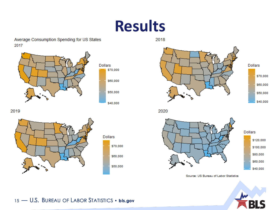### **Results**

Average Consumption Spending for US States 2017



2019







**Dollars** \$70,000 \$60,000 \$50,000 \$40,000

2020

2018



Dollars \$120,000 \$100,000 \$80,000 \$60,000 \$40,000

Source: US Bureau of Labor Statistics

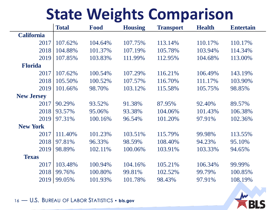## **State Weights Comparison**

|                   | <b>Total</b> | Food    | <b>Housing</b> | <b>Transport</b> | <b>Health</b> | <b>Entertain</b> |
|-------------------|--------------|---------|----------------|------------------|---------------|------------------|
| <b>California</b> |              |         |                |                  |               |                  |
| 2017              | 107.62%      | 104.64% | 107.75%        | 113.14%          | 110.17%       | 110.17%          |
| 2018              | 104.88%      | 101.37% | 107.19%        | 105.78%          | 103.94%       | 114.34%          |
| 2019              | 107.85%      | 103.83% | 111.99%        | 112.95%          | 104.68%       | 113.00%          |
| <b>Florida</b>    |              |         |                |                  |               |                  |
| 2017              | 107.62%      | 100.54% | 107.29%        | 116.21%          | 106.49%       | 143.19%          |
| 2018              | 105.50%      | 100.52% | 107.57%        | 116.70%          | 111.17%       | 103.90%          |
| 2019              | 101.66%      | 98.70%  | 103.12%        | 115.58%          | 105.75%       | 98.85%           |
| <b>New Jersey</b> |              |         |                |                  |               |                  |
| 2017              | 90.29%       | 93.52%  | 91.38%         | 87.95%           | 92.40%        | 89.57%           |
| 2018              | 93.57%       | 95.06%  | 93.38%         | 104.06%          | 101.43%       | 106.38%          |
| 2019              | 97.31%       | 100.16% | 96.54%         | 101.20%          | 97.91%        | 102.36%          |
| <b>New York</b>   |              |         |                |                  |               |                  |
| 2017              | 111.40%      | 101.23% | 103.51%        | 115.79%          | 99.98%        | 113.55%          |
| 2018              | 97.81%       | 96.33%  | 98.59%         | 108.40%          | 94.23%        | 95.10%           |
| 2019              | 98.89%       | 102.11% | 100.06%        | 103.91%          | 103.33%       | 94.65%           |
| <b>Texas</b>      |              |         |                |                  |               |                  |
| 2017              | 103.48%      | 100.94% | 104.16%        | 105.21%          | 106.34%       | 99.99%           |
| 2018              | 99.76%       | 100.80% | 99.81%         | 102.52%          | 99.79%        | 100.85%          |
| 2019              | 99.05%       | 101.93% | 101.78%        | 98.43%           | 97.91%        | 108.19%          |

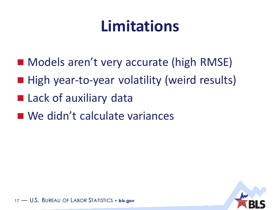## **Limitations**

- Models aren't very accurate (high RMSE)
- High year-to-year volatility (weird results)
- Lack of auxiliary data
- We didn't calculate variances